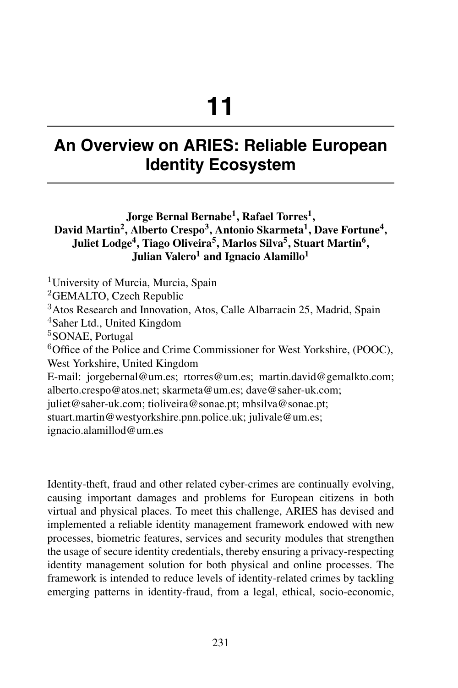**Jorge Bernal Bernabe<sup>1</sup> , Rafael Torres<sup>1</sup> , David Martin<sup>2</sup> , Alberto Crespo<sup>3</sup> , Antonio Skarmeta<sup>1</sup> , Dave Fortune<sup>4</sup> , Juliet Lodge<sup>4</sup> , Tiago Oliveira<sup>5</sup> , Marlos Silva<sup>5</sup> , Stuart Martin<sup>6</sup> , Julian Valero<sup>1</sup> and Ignacio Alamillo<sup>1</sup>**

<sup>1</sup>University of Murcia, Murcia, Spain <sup>2</sup>GEMALTO, Czech Republic <sup>3</sup>Atos Research and Innovation, Atos, Calle Albarracin 25, Madrid, Spain <sup>4</sup>Saher Ltd., United Kingdom <sup>5</sup>SONAE, Portugal <sup>6</sup>Office of the Police and Crime Commissioner for West Yorkshire, (POOC), West Yorkshire, United Kingdom E-mail: jorgebernal@um.es; rtorres@um.es; martin.david@gemalkto.com; alberto.crespo@atos.net; skarmeta@um.es; dave@saher-uk.com; juliet@saher-uk.com; tioliveira@sonae.pt; mhsilva@sonae.pt; stuart.martin@westyorkshire.pnn.police.uk; julivale@um.es; ignacio.alamillod@um.es

Identity-theft, fraud and other related cyber-crimes are continually evolving, causing important damages and problems for European citizens in both virtual and physical places. To meet this challenge, ARIES has devised and implemented a reliable identity management framework endowed with new processes, biometric features, services and security modules that strengthen the usage of secure identity credentials, thereby ensuring a privacy-respecting identity management solution for both physical and online processes. The framework is intended to reduce levels of identity-related crimes by tackling emerging patterns in identity-fraud, from a legal, ethical, socio-economic,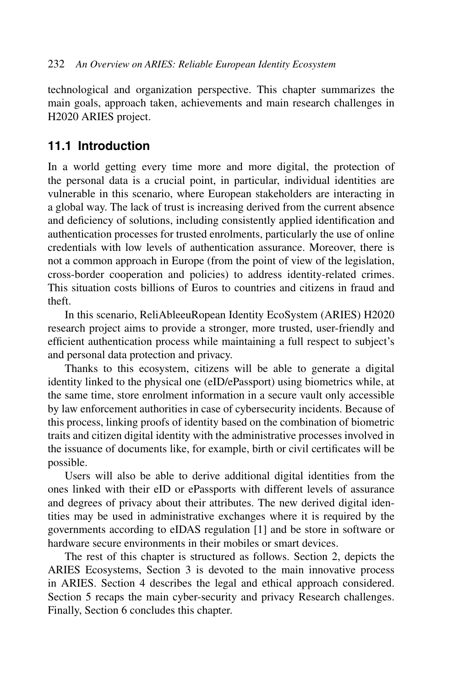technological and organization perspective. This chapter summarizes the main goals, approach taken, achievements and main research challenges in H2020 ARIES project.

# **11.1 Introduction**

In a world getting every time more and more digital, the protection of the personal data is a crucial point, in particular, individual identities are vulnerable in this scenario, where European stakeholders are interacting in a global way. The lack of trust is increasing derived from the current absence and deficiency of solutions, including consistently applied identification and authentication processes for trusted enrolments, particularly the use of online credentials with low levels of authentication assurance. Moreover, there is not a common approach in Europe (from the point of view of the legislation, cross-border cooperation and policies) to address identity-related crimes. This situation costs billions of Euros to countries and citizens in fraud and theft.

In this scenario, ReliAbleeuRopean Identity EcoSystem (ARIES) H2020 research project aims to provide a stronger, more trusted, user-friendly and efficient authentication process while maintaining a full respect to subject's and personal data protection and privacy.

Thanks to this ecosystem, citizens will be able to generate a digital identity linked to the physical one (eID/ePassport) using biometrics while, at the same time, store enrolment information in a secure vault only accessible by law enforcement authorities in case of cybersecurity incidents. Because of this process, linking proofs of identity based on the combination of biometric traits and citizen digital identity with the administrative processes involved in the issuance of documents like, for example, birth or civil certificates will be possible.

Users will also be able to derive additional digital identities from the ones linked with their eID or ePassports with different levels of assurance and degrees of privacy about their attributes. The new derived digital identities may be used in administrative exchanges where it is required by the governments according to eIDAS regulation [1] and be store in software or hardware secure environments in their mobiles or smart devices.

The rest of this chapter is structured as follows. Section 2, depicts the ARIES Ecosystems, Section 3 is devoted to the main innovative process in ARIES. Section 4 describes the legal and ethical approach considered. Section 5 recaps the main cyber-security and privacy Research challenges. Finally, Section 6 concludes this chapter.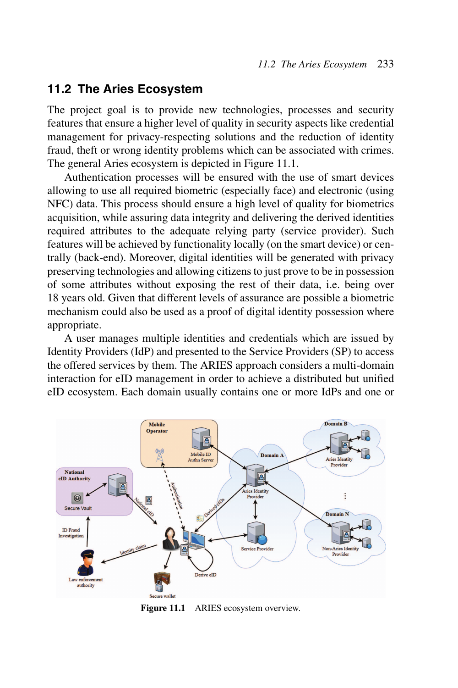# **11.2 The Aries Ecosystem**

The project goal is to provide new technologies, processes and security features that ensure a higher level of quality in security aspects like credential management for privacy-respecting solutions and the reduction of identity fraud, theft or wrong identity problems which can be associated with crimes. The general Aries ecosystem is depicted in Figure 11.1.

Authentication processes will be ensured with the use of smart devices allowing to use all required biometric (especially face) and electronic (using NFC) data. This process should ensure a high level of quality for biometrics acquisition, while assuring data integrity and delivering the derived identities required attributes to the adequate relying party (service provider). Such features will be achieved by functionality locally (on the smart device) or centrally (back-end). Moreover, digital identities will be generated with privacy preserving technologies and allowing citizens to just prove to be in possession of some attributes without exposing the rest of their data, i.e. being over 18 years old. Given that different levels of assurance are possible a biometric mechanism could also be used as a proof of digital identity possession where appropriate.

A user manages multiple identities and credentials which are issued by Identity Providers (IdP) and presented to the Service Providers (SP) to access the offered services by them. The ARIES approach considers a multi-domain interaction for eID management in order to achieve a distributed but unified eID ecosystem. Each domain usually contains one or more IdPs and one or



Figure 11.1 ARIES ecosystem overview.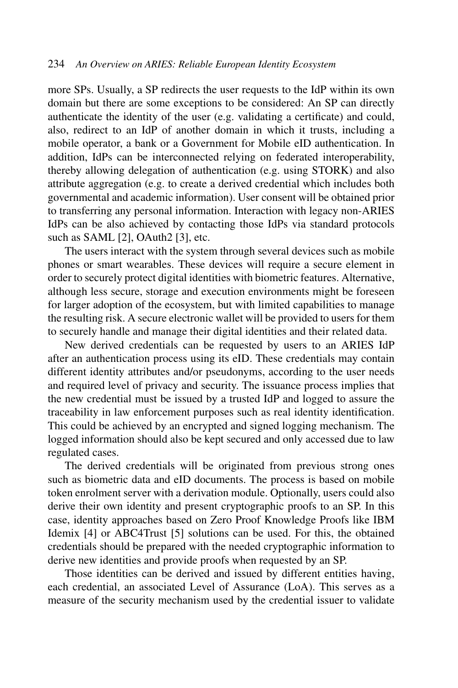more SPs. Usually, a SP redirects the user requests to the IdP within its own domain but there are some exceptions to be considered: An SP can directly authenticate the identity of the user (e.g. validating a certificate) and could, also, redirect to an IdP of another domain in which it trusts, including a mobile operator, a bank or a Government for Mobile eID authentication. In addition, IdPs can be interconnected relying on federated interoperability, thereby allowing delegation of authentication (e.g. using STORK) and also attribute aggregation (e.g. to create a derived credential which includes both governmental and academic information). User consent will be obtained prior to transferring any personal information. Interaction with legacy non-ARIES IdPs can be also achieved by contacting those IdPs via standard protocols such as SAML [2], OAuth2 [3], etc.

The users interact with the system through several devices such as mobile phones or smart wearables. These devices will require a secure element in order to securely protect digital identities with biometric features. Alternative, although less secure, storage and execution environments might be foreseen for larger adoption of the ecosystem, but with limited capabilities to manage the resulting risk. A secure electronic wallet will be provided to users for them to securely handle and manage their digital identities and their related data.

New derived credentials can be requested by users to an ARIES IdP after an authentication process using its eID. These credentials may contain different identity attributes and/or pseudonyms, according to the user needs and required level of privacy and security. The issuance process implies that the new credential must be issued by a trusted IdP and logged to assure the traceability in law enforcement purposes such as real identity identification. This could be achieved by an encrypted and signed logging mechanism. The logged information should also be kept secured and only accessed due to law regulated cases.

The derived credentials will be originated from previous strong ones such as biometric data and eID documents. The process is based on mobile token enrolment server with a derivation module. Optionally, users could also derive their own identity and present cryptographic proofs to an SP. In this case, identity approaches based on Zero Proof Knowledge Proofs like IBM Idemix [4] or ABC4Trust [5] solutions can be used. For this, the obtained credentials should be prepared with the needed cryptographic information to derive new identities and provide proofs when requested by an SP.

Those identities can be derived and issued by different entities having, each credential, an associated Level of Assurance (LoA). This serves as a measure of the security mechanism used by the credential issuer to validate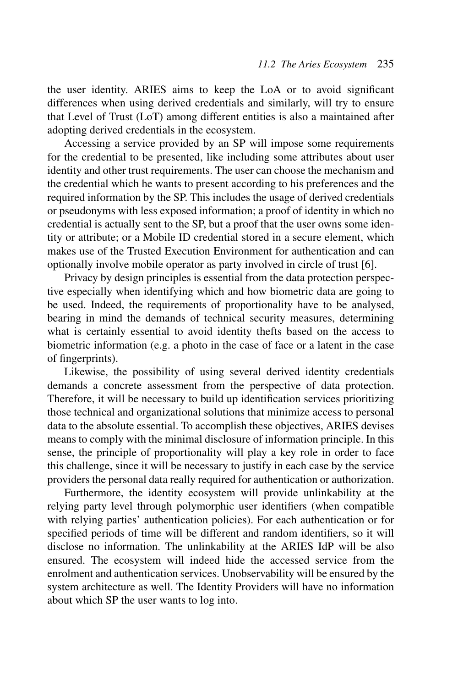the user identity. ARIES aims to keep the LoA or to avoid significant differences when using derived credentials and similarly, will try to ensure that Level of Trust (LoT) among different entities is also a maintained after adopting derived credentials in the ecosystem.

Accessing a service provided by an SP will impose some requirements for the credential to be presented, like including some attributes about user identity and other trust requirements. The user can choose the mechanism and the credential which he wants to present according to his preferences and the required information by the SP. This includes the usage of derived credentials or pseudonyms with less exposed information; a proof of identity in which no credential is actually sent to the SP, but a proof that the user owns some identity or attribute; or a Mobile ID credential stored in a secure element, which makes use of the Trusted Execution Environment for authentication and can optionally involve mobile operator as party involved in circle of trust [6].

Privacy by design principles is essential from the data protection perspective especially when identifying which and how biometric data are going to be used. Indeed, the requirements of proportionality have to be analysed, bearing in mind the demands of technical security measures, determining what is certainly essential to avoid identity thefts based on the access to biometric information (e.g. a photo in the case of face or a latent in the case of fingerprints).

Likewise, the possibility of using several derived identity credentials demands a concrete assessment from the perspective of data protection. Therefore, it will be necessary to build up identification services prioritizing those technical and organizational solutions that minimize access to personal data to the absolute essential. To accomplish these objectives, ARIES devises means to comply with the minimal disclosure of information principle. In this sense, the principle of proportionality will play a key role in order to face this challenge, since it will be necessary to justify in each case by the service providers the personal data really required for authentication or authorization.

Furthermore, the identity ecosystem will provide unlinkability at the relying party level through polymorphic user identifiers (when compatible with relying parties' authentication policies). For each authentication or for specified periods of time will be different and random identifiers, so it will disclose no information. The unlinkability at the ARIES IdP will be also ensured. The ecosystem will indeed hide the accessed service from the enrolment and authentication services. Unobservability will be ensured by the system architecture as well. The Identity Providers will have no information about which SP the user wants to log into.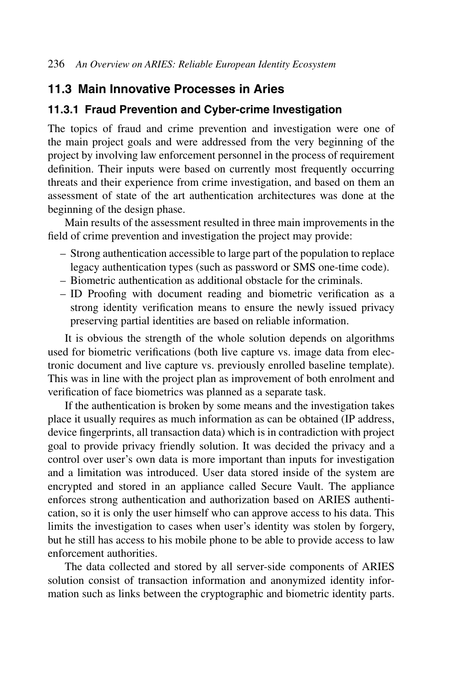### **11.3 Main Innovative Processes in Aries**

### **11.3.1 Fraud Prevention and Cyber-crime Investigation**

The topics of fraud and crime prevention and investigation were one of the main project goals and were addressed from the very beginning of the project by involving law enforcement personnel in the process of requirement definition. Their inputs were based on currently most frequently occurring threats and their experience from crime investigation, and based on them an assessment of state of the art authentication architectures was done at the beginning of the design phase.

Main results of the assessment resulted in three main improvements in the field of crime prevention and investigation the project may provide:

- Strong authentication accessible to large part of the population to replace legacy authentication types (such as password or SMS one-time code).
- Biometric authentication as additional obstacle for the criminals.
- ID Proofing with document reading and biometric verification as a strong identity verification means to ensure the newly issued privacy preserving partial identities are based on reliable information.

It is obvious the strength of the whole solution depends on algorithms used for biometric verifications (both live capture vs. image data from electronic document and live capture vs. previously enrolled baseline template). This was in line with the project plan as improvement of both enrolment and verification of face biometrics was planned as a separate task.

If the authentication is broken by some means and the investigation takes place it usually requires as much information as can be obtained (IP address, device fingerprints, all transaction data) which is in contradiction with project goal to provide privacy friendly solution. It was decided the privacy and a control over user's own data is more important than inputs for investigation and a limitation was introduced. User data stored inside of the system are encrypted and stored in an appliance called Secure Vault. The appliance enforces strong authentication and authorization based on ARIES authentication, so it is only the user himself who can approve access to his data. This limits the investigation to cases when user's identity was stolen by forgery, but he still has access to his mobile phone to be able to provide access to law enforcement authorities.

The data collected and stored by all server-side components of ARIES solution consist of transaction information and anonymized identity information such as links between the cryptographic and biometric identity parts.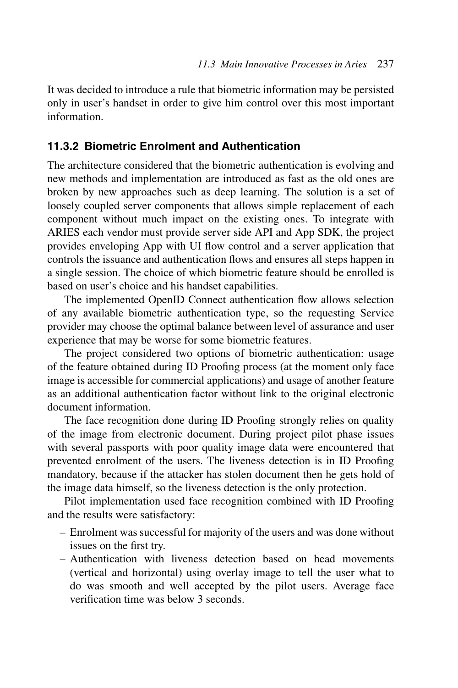It was decided to introduce a rule that biometric information may be persisted only in user's handset in order to give him control over this most important information.

### **11.3.2 Biometric Enrolment and Authentication**

The architecture considered that the biometric authentication is evolving and new methods and implementation are introduced as fast as the old ones are broken by new approaches such as deep learning. The solution is a set of loosely coupled server components that allows simple replacement of each component without much impact on the existing ones. To integrate with ARIES each vendor must provide server side API and App SDK, the project provides enveloping App with UI flow control and a server application that controls the issuance and authentication flows and ensures all steps happen in a single session. The choice of which biometric feature should be enrolled is based on user's choice and his handset capabilities.

The implemented OpenID Connect authentication flow allows selection of any available biometric authentication type, so the requesting Service provider may choose the optimal balance between level of assurance and user experience that may be worse for some biometric features.

The project considered two options of biometric authentication: usage of the feature obtained during ID Proofing process (at the moment only face image is accessible for commercial applications) and usage of another feature as an additional authentication factor without link to the original electronic document information.

The face recognition done during ID Proofing strongly relies on quality of the image from electronic document. During project pilot phase issues with several passports with poor quality image data were encountered that prevented enrolment of the users. The liveness detection is in ID Proofing mandatory, because if the attacker has stolen document then he gets hold of the image data himself, so the liveness detection is the only protection.

Pilot implementation used face recognition combined with ID Proofing and the results were satisfactory:

- Enrolment was successful for majority of the users and was done without issues on the first try.
- Authentication with liveness detection based on head movements (vertical and horizontal) using overlay image to tell the user what to do was smooth and well accepted by the pilot users. Average face verification time was below 3 seconds.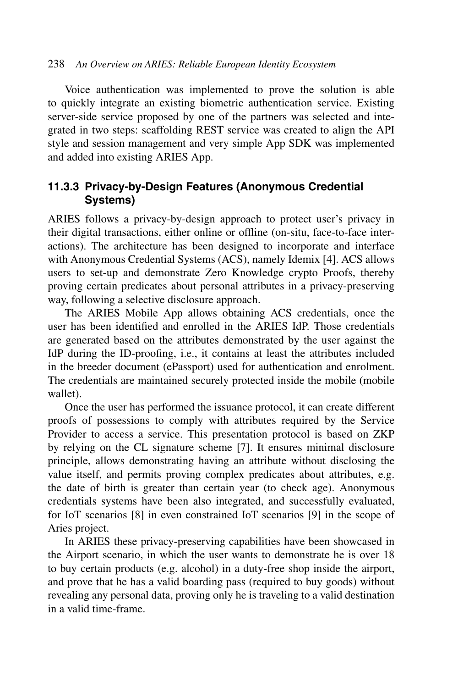Voice authentication was implemented to prove the solution is able to quickly integrate an existing biometric authentication service. Existing server-side service proposed by one of the partners was selected and integrated in two steps: scaffolding REST service was created to align the API style and session management and very simple App SDK was implemented and added into existing ARIES App.

### **11.3.3 Privacy-by-Design Features (Anonymous Credential Systems)**

ARIES follows a privacy-by-design approach to protect user's privacy in their digital transactions, either online or offline (on-situ, face-to-face interactions). The architecture has been designed to incorporate and interface with Anonymous Credential Systems (ACS), namely Idemix [4]. ACS allows users to set-up and demonstrate Zero Knowledge crypto Proofs, thereby proving certain predicates about personal attributes in a privacy-preserving way, following a selective disclosure approach.

The ARIES Mobile App allows obtaining ACS credentials, once the user has been identified and enrolled in the ARIES IdP. Those credentials are generated based on the attributes demonstrated by the user against the IdP during the ID-proofing, i.e., it contains at least the attributes included in the breeder document (ePassport) used for authentication and enrolment. The credentials are maintained securely protected inside the mobile (mobile wallet).

Once the user has performed the issuance protocol, it can create different proofs of possessions to comply with attributes required by the Service Provider to access a service. This presentation protocol is based on ZKP by relying on the CL signature scheme [7]. It ensures minimal disclosure principle, allows demonstrating having an attribute without disclosing the value itself, and permits proving complex predicates about attributes, e.g. the date of birth is greater than certain year (to check age). Anonymous credentials systems have been also integrated, and successfully evaluated, for IoT scenarios [8] in even constrained IoT scenarios [9] in the scope of Aries project.

In ARIES these privacy-preserving capabilities have been showcased in the Airport scenario, in which the user wants to demonstrate he is over 18 to buy certain products (e.g. alcohol) in a duty-free shop inside the airport, and prove that he has a valid boarding pass (required to buy goods) without revealing any personal data, proving only he is traveling to a valid destination in a valid time-frame.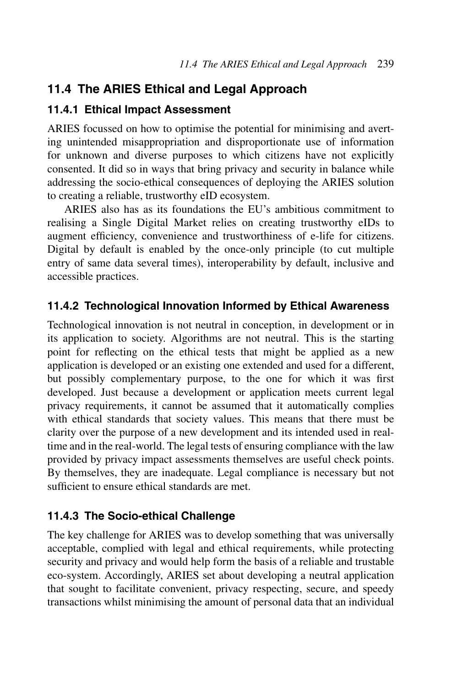# **11.4 The ARIES Ethical and Legal Approach**

### **11.4.1 Ethical Impact Assessment**

ARIES focussed on how to optimise the potential for minimising and averting unintended misappropriation and disproportionate use of information for unknown and diverse purposes to which citizens have not explicitly consented. It did so in ways that bring privacy and security in balance while addressing the socio-ethical consequences of deploying the ARIES solution to creating a reliable, trustworthy eID ecosystem.

ARIES also has as its foundations the EU's ambitious commitment to realising a Single Digital Market relies on creating trustworthy eIDs to augment efficiency, convenience and trustworthiness of e-life for citizens. Digital by default is enabled by the once-only principle (to cut multiple entry of same data several times), interoperability by default, inclusive and accessible practices.

# **11.4.2 Technological Innovation Informed by Ethical Awareness**

Technological innovation is not neutral in conception, in development or in its application to society. Algorithms are not neutral. This is the starting point for reflecting on the ethical tests that might be applied as a new application is developed or an existing one extended and used for a different, but possibly complementary purpose, to the one for which it was first developed. Just because a development or application meets current legal privacy requirements, it cannot be assumed that it automatically complies with ethical standards that society values. This means that there must be clarity over the purpose of a new development and its intended used in realtime and in the real-world. The legal tests of ensuring compliance with the law provided by privacy impact assessments themselves are useful check points. By themselves, they are inadequate. Legal compliance is necessary but not sufficient to ensure ethical standards are met.

# **11.4.3 The Socio-ethical Challenge**

The key challenge for ARIES was to develop something that was universally acceptable, complied with legal and ethical requirements, while protecting security and privacy and would help form the basis of a reliable and trustable eco-system. Accordingly, ARIES set about developing a neutral application that sought to facilitate convenient, privacy respecting, secure, and speedy transactions whilst minimising the amount of personal data that an individual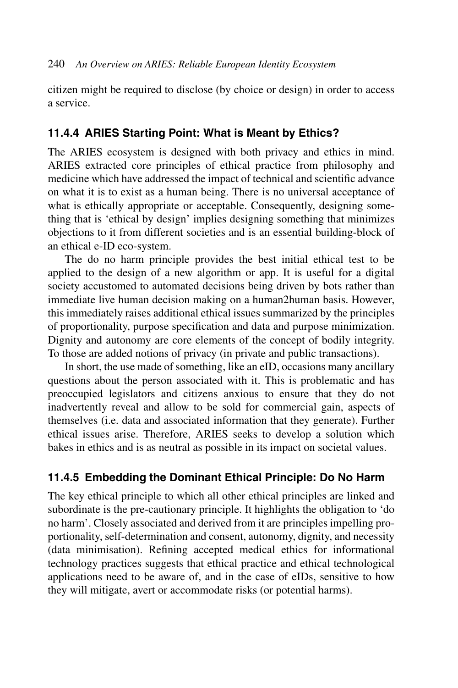citizen might be required to disclose (by choice or design) in order to access a service.

# **11.4.4 ARIES Starting Point: What is Meant by Ethics?**

The ARIES ecosystem is designed with both privacy and ethics in mind. ARIES extracted core principles of ethical practice from philosophy and medicine which have addressed the impact of technical and scientific advance on what it is to exist as a human being. There is no universal acceptance of what is ethically appropriate or acceptable. Consequently, designing something that is 'ethical by design' implies designing something that minimizes objections to it from different societies and is an essential building-block of an ethical e-ID eco-system.

The do no harm principle provides the best initial ethical test to be applied to the design of a new algorithm or app. It is useful for a digital society accustomed to automated decisions being driven by bots rather than immediate live human decision making on a human2human basis. However, this immediately raises additional ethical issues summarized by the principles of proportionality, purpose specification and data and purpose minimization. Dignity and autonomy are core elements of the concept of bodily integrity. To those are added notions of privacy (in private and public transactions).

In short, the use made of something, like an eID, occasions many ancillary questions about the person associated with it. This is problematic and has preoccupied legislators and citizens anxious to ensure that they do not inadvertently reveal and allow to be sold for commercial gain, aspects of themselves (i.e. data and associated information that they generate). Further ethical issues arise. Therefore, ARIES seeks to develop a solution which bakes in ethics and is as neutral as possible in its impact on societal values.

### **11.4.5 Embedding the Dominant Ethical Principle: Do No Harm**

The key ethical principle to which all other ethical principles are linked and subordinate is the pre-cautionary principle. It highlights the obligation to 'do no harm'. Closely associated and derived from it are principles impelling proportionality, self-determination and consent, autonomy, dignity, and necessity (data minimisation). Refining accepted medical ethics for informational technology practices suggests that ethical practice and ethical technological applications need to be aware of, and in the case of eIDs, sensitive to how they will mitigate, avert or accommodate risks (or potential harms).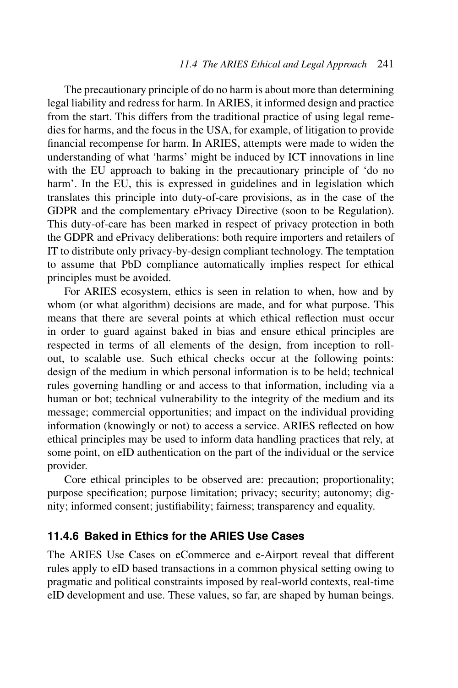The precautionary principle of do no harm is about more than determining legal liability and redress for harm. In ARIES, it informed design and practice from the start. This differs from the traditional practice of using legal remedies for harms, and the focus in the USA, for example, of litigation to provide financial recompense for harm. In ARIES, attempts were made to widen the understanding of what 'harms' might be induced by ICT innovations in line with the EU approach to baking in the precautionary principle of 'do no harm'. In the EU, this is expressed in guidelines and in legislation which translates this principle into duty-of-care provisions, as in the case of the GDPR and the complementary ePrivacy Directive (soon to be Regulation). This duty-of-care has been marked in respect of privacy protection in both the GDPR and ePrivacy deliberations: both require importers and retailers of IT to distribute only privacy-by-design compliant technology. The temptation to assume that PbD compliance automatically implies respect for ethical principles must be avoided.

For ARIES ecosystem, ethics is seen in relation to when, how and by whom (or what algorithm) decisions are made, and for what purpose. This means that there are several points at which ethical reflection must occur in order to guard against baked in bias and ensure ethical principles are respected in terms of all elements of the design, from inception to rollout, to scalable use. Such ethical checks occur at the following points: design of the medium in which personal information is to be held; technical rules governing handling or and access to that information, including via a human or bot; technical vulnerability to the integrity of the medium and its message; commercial opportunities; and impact on the individual providing information (knowingly or not) to access a service. ARIES reflected on how ethical principles may be used to inform data handling practices that rely, at some point, on eID authentication on the part of the individual or the service provider.

Core ethical principles to be observed are: precaution; proportionality; purpose specification; purpose limitation; privacy; security; autonomy; dignity; informed consent; justifiability; fairness; transparency and equality.

### **11.4.6 Baked in Ethics for the ARIES Use Cases**

The ARIES Use Cases on eCommerce and e-Airport reveal that different rules apply to eID based transactions in a common physical setting owing to pragmatic and political constraints imposed by real-world contexts, real-time eID development and use. These values, so far, are shaped by human beings.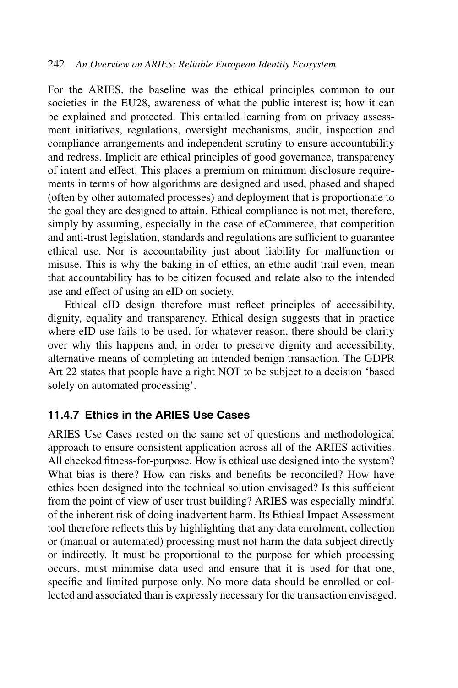For the ARIES, the baseline was the ethical principles common to our societies in the EU28, awareness of what the public interest is; how it can be explained and protected. This entailed learning from on privacy assessment initiatives, regulations, oversight mechanisms, audit, inspection and compliance arrangements and independent scrutiny to ensure accountability and redress. Implicit are ethical principles of good governance, transparency of intent and effect. This places a premium on minimum disclosure requirements in terms of how algorithms are designed and used, phased and shaped (often by other automated processes) and deployment that is proportionate to the goal they are designed to attain. Ethical compliance is not met, therefore, simply by assuming, especially in the case of eCommerce, that competition and anti-trust legislation, standards and regulations are sufficient to guarantee ethical use. Nor is accountability just about liability for malfunction or misuse. This is why the baking in of ethics, an ethic audit trail even, mean that accountability has to be citizen focused and relate also to the intended use and effect of using an eID on society.

Ethical eID design therefore must reflect principles of accessibility, dignity, equality and transparency. Ethical design suggests that in practice where eID use fails to be used, for whatever reason, there should be clarity over why this happens and, in order to preserve dignity and accessibility, alternative means of completing an intended benign transaction. The GDPR Art 22 states that people have a right NOT to be subject to a decision 'based solely on automated processing'.

### **11.4.7 Ethics in the ARIES Use Cases**

ARIES Use Cases rested on the same set of questions and methodological approach to ensure consistent application across all of the ARIES activities. All checked fitness-for-purpose. How is ethical use designed into the system? What bias is there? How can risks and benefits be reconciled? How have ethics been designed into the technical solution envisaged? Is this sufficient from the point of view of user trust building? ARIES was especially mindful of the inherent risk of doing inadvertent harm. Its Ethical Impact Assessment tool therefore reflects this by highlighting that any data enrolment, collection or (manual or automated) processing must not harm the data subject directly or indirectly. It must be proportional to the purpose for which processing occurs, must minimise data used and ensure that it is used for that one, specific and limited purpose only. No more data should be enrolled or collected and associated than is expressly necessary for the transaction envisaged.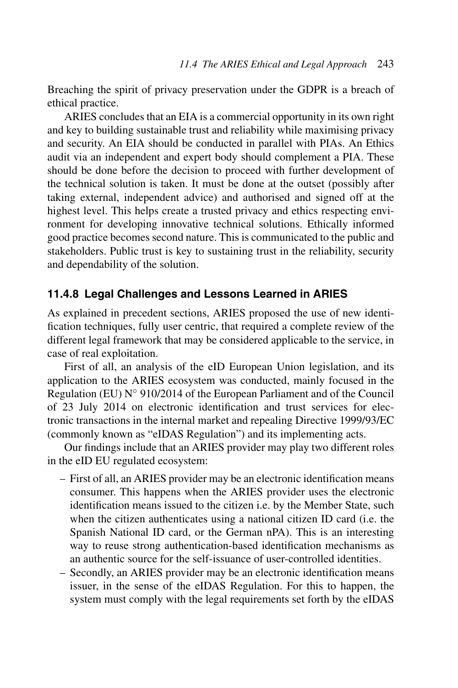Breaching the spirit of privacy preservation under the GDPR is a breach of ethical practice.

ARIES concludes that an EIA is a commercial opportunity in its own right and key to building sustainable trust and reliability while maximising privacy and security. An EIA should be conducted in parallel with PIAs. An Ethics audit via an independent and expert body should complement a PIA. These should be done before the decision to proceed with further development of the technical solution is taken. It must be done at the outset (possibly after taking external, independent advice) and authorised and signed off at the highest level. This helps create a trusted privacy and ethics respecting environment for developing innovative technical solutions. Ethically informed good practice becomes second nature. This is communicated to the public and stakeholders. Public trust is key to sustaining trust in the reliability, security and dependability of the solution.

### **11.4.8 Legal Challenges and Lessons Learned in ARIES**

As explained in precedent sections, ARIES proposed the use of new identification techniques, fully user centric, that required a complete review of the different legal framework that may be considered applicable to the service, in case of real exploitation.

First of all, an analysis of the eID European Union legislation, and its application to the ARIES ecosystem was conducted, mainly focused in the Regulation (EU) N◦ 910/2014 of the European Parliament and of the Council of 23 July 2014 on electronic identification and trust services for electronic transactions in the internal market and repealing Directive 1999/93/EC (commonly known as "eIDAS Regulation") and its implementing acts.

Our findings include that an ARIES provider may play two different roles in the eID EU regulated ecosystem:

- First of all, an ARIES provider may be an electronic identification means consumer. This happens when the ARIES provider uses the electronic identification means issued to the citizen i.e. by the Member State, such when the citizen authenticates using a national citizen ID card (i.e. the Spanish National ID card, or the German nPA). This is an interesting way to reuse strong authentication-based identification mechanisms as an authentic source for the self-issuance of user-controlled identities.
- Secondly, an ARIES provider may be an electronic identification means issuer, in the sense of the eIDAS Regulation. For this to happen, the system must comply with the legal requirements set forth by the eIDAS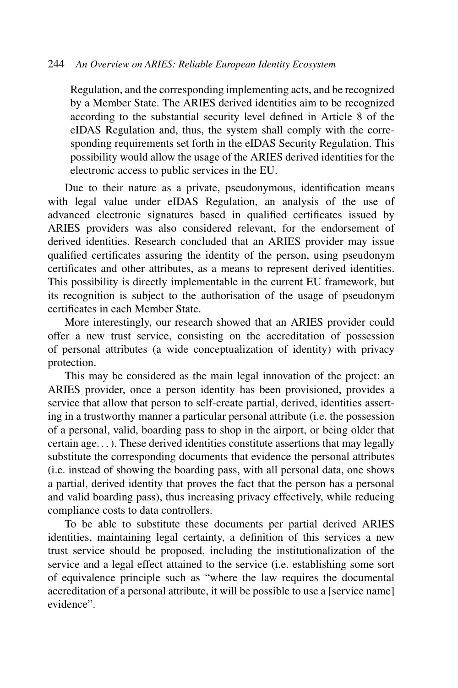Regulation, and the corresponding implementing acts, and be recognized by a Member State. The ARIES derived identities aim to be recognized according to the substantial security level defined in Article 8 of the eIDAS Regulation and, thus, the system shall comply with the corresponding requirements set forth in the eIDAS Security Regulation. This possibility would allow the usage of the ARIES derived identities for the electronic access to public services in the EU.

Due to their nature as a private, pseudonymous, identification means with legal value under eIDAS Regulation, an analysis of the use of advanced electronic signatures based in qualified certificates issued by ARIES providers was also considered relevant, for the endorsement of derived identities. Research concluded that an ARIES provider may issue qualified certificates assuring the identity of the person, using pseudonym certificates and other attributes, as a means to represent derived identities. This possibility is directly implementable in the current EU framework, but its recognition is subject to the authorisation of the usage of pseudonym certificates in each Member State.

More interestingly, our research showed that an ARIES provider could offer a new trust service, consisting on the accreditation of possession of personal attributes (a wide conceptualization of identity) with privacy protection.

This may be considered as the main legal innovation of the project: an ARIES provider, once a person identity has been provisioned, provides a service that allow that person to self-create partial, derived, identities asserting in a trustworthy manner a particular personal attribute (i.e. the possession of a personal, valid, boarding pass to shop in the airport, or being older that certain age. . . ). These derived identities constitute assertions that may legally substitute the corresponding documents that evidence the personal attributes (i.e. instead of showing the boarding pass, with all personal data, one shows a partial, derived identity that proves the fact that the person has a personal and valid boarding pass), thus increasing privacy effectively, while reducing compliance costs to data controllers.

To be able to substitute these documents per partial derived ARIES identities, maintaining legal certainty, a definition of this services a new trust service should be proposed, including the institutionalization of the service and a legal effect attained to the service (i.e. establishing some sort of equivalence principle such as "where the law requires the documental accreditation of a personal attribute, it will be possible to use a [service name] evidence".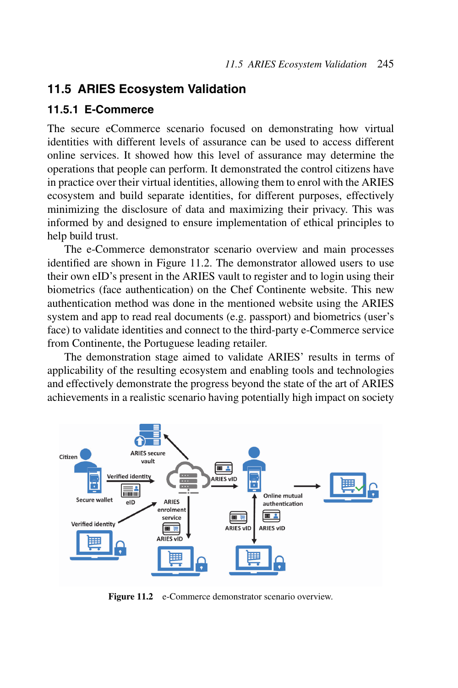# **11.5 ARIES Ecosystem Validation**

### **11.5.1 E-Commerce**

The secure eCommerce scenario focused on demonstrating how virtual identities with different levels of assurance can be used to access different online services. It showed how this level of assurance may determine the operations that people can perform. It demonstrated the control citizens have in practice over their virtual identities, allowing them to enrol with the ARIES ecosystem and build separate identities, for different purposes, effectively minimizing the disclosure of data and maximizing their privacy. This was informed by and designed to ensure implementation of ethical principles to help build trust.

The e-Commerce demonstrator scenario overview and main processes identified are shown in Figure 11.2. The demonstrator allowed users to use their own eID's present in the ARIES vault to register and to login using their biometrics (face authentication) on the Chef Continente website. This new authentication method was done in the mentioned website using the ARIES system and app to read real documents (e.g. passport) and biometrics (user's face) to validate identities and connect to the third-party e-Commerce service from Continente, the Portuguese leading retailer.

The demonstration stage aimed to validate ARIES' results in terms of applicability of the resulting ecosystem and enabling tools and technologies and effectively demonstrate the progress beyond the state of the art of ARIES achievements in a realistic scenario having potentially high impact on society



Figure 11.2 e-Commerce demonstrator scenario overview.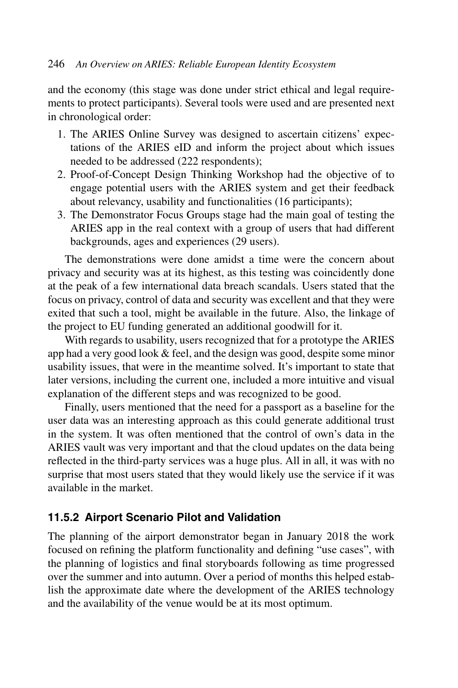and the economy (this stage was done under strict ethical and legal requirements to protect participants). Several tools were used and are presented next in chronological order:

- 1. The ARIES Online Survey was designed to ascertain citizens' expectations of the ARIES eID and inform the project about which issues needed to be addressed (222 respondents);
- 2. Proof-of-Concept Design Thinking Workshop had the objective of to engage potential users with the ARIES system and get their feedback about relevancy, usability and functionalities (16 participants);
- 3. The Demonstrator Focus Groups stage had the main goal of testing the ARIES app in the real context with a group of users that had different backgrounds, ages and experiences (29 users).

The demonstrations were done amidst a time were the concern about privacy and security was at its highest, as this testing was coincidently done at the peak of a few international data breach scandals. Users stated that the focus on privacy, control of data and security was excellent and that they were exited that such a tool, might be available in the future. Also, the linkage of the project to EU funding generated an additional goodwill for it.

With regards to usability, users recognized that for a prototype the ARIES app had a very good look & feel, and the design was good, despite some minor usability issues, that were in the meantime solved. It's important to state that later versions, including the current one, included a more intuitive and visual explanation of the different steps and was recognized to be good.

Finally, users mentioned that the need for a passport as a baseline for the user data was an interesting approach as this could generate additional trust in the system. It was often mentioned that the control of own's data in the ARIES vault was very important and that the cloud updates on the data being reflected in the third-party services was a huge plus. All in all, it was with no surprise that most users stated that they would likely use the service if it was available in the market.

### **11.5.2 Airport Scenario Pilot and Validation**

The planning of the airport demonstrator began in January 2018 the work focused on refining the platform functionality and defining "use cases", with the planning of logistics and final storyboards following as time progressed over the summer and into autumn. Over a period of months this helped establish the approximate date where the development of the ARIES technology and the availability of the venue would be at its most optimum.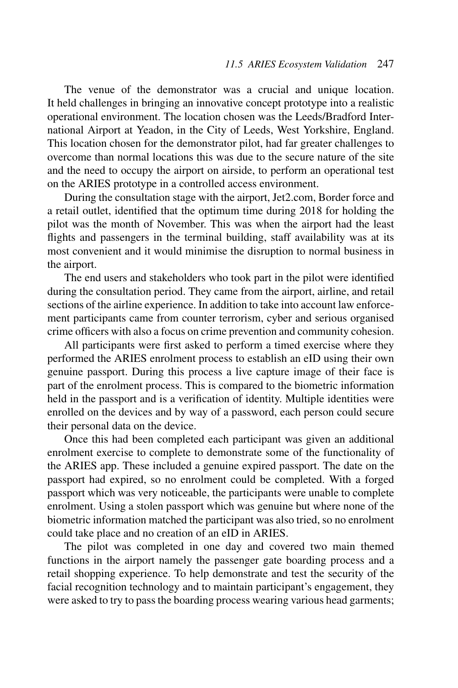The venue of the demonstrator was a crucial and unique location. It held challenges in bringing an innovative concept prototype into a realistic operational environment. The location chosen was the Leeds/Bradford International Airport at Yeadon, in the City of Leeds, West Yorkshire, England. This location chosen for the demonstrator pilot, had far greater challenges to overcome than normal locations this was due to the secure nature of the site and the need to occupy the airport on airside, to perform an operational test on the ARIES prototype in a controlled access environment.

During the consultation stage with the airport, Jet2.com, Border force and a retail outlet, identified that the optimum time during 2018 for holding the pilot was the month of November. This was when the airport had the least flights and passengers in the terminal building, staff availability was at its most convenient and it would minimise the disruption to normal business in the airport.

The end users and stakeholders who took part in the pilot were identified during the consultation period. They came from the airport, airline, and retail sections of the airline experience. In addition to take into account law enforcement participants came from counter terrorism, cyber and serious organised crime officers with also a focus on crime prevention and community cohesion.

All participants were first asked to perform a timed exercise where they performed the ARIES enrolment process to establish an eID using their own genuine passport. During this process a live capture image of their face is part of the enrolment process. This is compared to the biometric information held in the passport and is a verification of identity. Multiple identities were enrolled on the devices and by way of a password, each person could secure their personal data on the device.

Once this had been completed each participant was given an additional enrolment exercise to complete to demonstrate some of the functionality of the ARIES app. These included a genuine expired passport. The date on the passport had expired, so no enrolment could be completed. With a forged passport which was very noticeable, the participants were unable to complete enrolment. Using a stolen passport which was genuine but where none of the biometric information matched the participant was also tried, so no enrolment could take place and no creation of an eID in ARIES.

The pilot was completed in one day and covered two main themed functions in the airport namely the passenger gate boarding process and a retail shopping experience. To help demonstrate and test the security of the facial recognition technology and to maintain participant's engagement, they were asked to try to pass the boarding process wearing various head garments;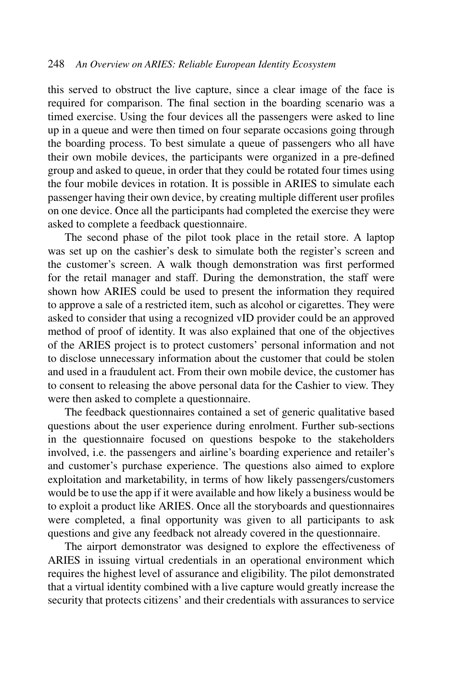this served to obstruct the live capture, since a clear image of the face is required for comparison. The final section in the boarding scenario was a timed exercise. Using the four devices all the passengers were asked to line up in a queue and were then timed on four separate occasions going through the boarding process. To best simulate a queue of passengers who all have their own mobile devices, the participants were organized in a pre-defined group and asked to queue, in order that they could be rotated four times using the four mobile devices in rotation. It is possible in ARIES to simulate each passenger having their own device, by creating multiple different user profiles on one device. Once all the participants had completed the exercise they were asked to complete a feedback questionnaire.

The second phase of the pilot took place in the retail store. A laptop was set up on the cashier's desk to simulate both the register's screen and the customer's screen. A walk though demonstration was first performed for the retail manager and staff. During the demonstration, the staff were shown how ARIES could be used to present the information they required to approve a sale of a restricted item, such as alcohol or cigarettes. They were asked to consider that using a recognized vID provider could be an approved method of proof of identity. It was also explained that one of the objectives of the ARIES project is to protect customers' personal information and not to disclose unnecessary information about the customer that could be stolen and used in a fraudulent act. From their own mobile device, the customer has to consent to releasing the above personal data for the Cashier to view. They were then asked to complete a questionnaire.

The feedback questionnaires contained a set of generic qualitative based questions about the user experience during enrolment. Further sub-sections in the questionnaire focused on questions bespoke to the stakeholders involved, i.e. the passengers and airline's boarding experience and retailer's and customer's purchase experience. The questions also aimed to explore exploitation and marketability, in terms of how likely passengers/customers would be to use the app if it were available and how likely a business would be to exploit a product like ARIES. Once all the storyboards and questionnaires were completed, a final opportunity was given to all participants to ask questions and give any feedback not already covered in the questionnaire.

The airport demonstrator was designed to explore the effectiveness of ARIES in issuing virtual credentials in an operational environment which requires the highest level of assurance and eligibility. The pilot demonstrated that a virtual identity combined with a live capture would greatly increase the security that protects citizens' and their credentials with assurances to service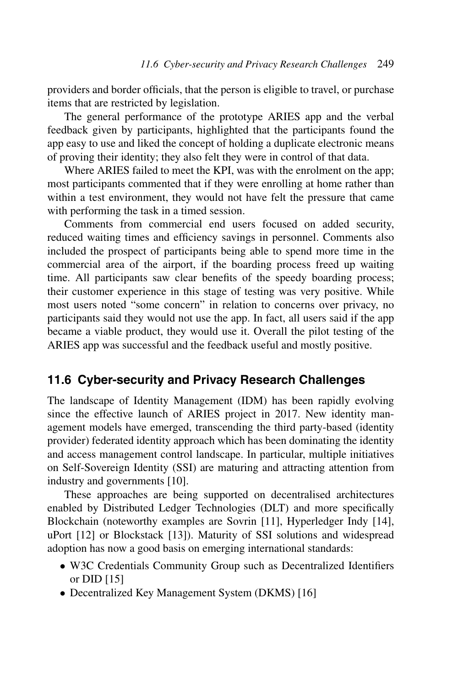providers and border officials, that the person is eligible to travel, or purchase items that are restricted by legislation.

The general performance of the prototype ARIES app and the verbal feedback given by participants, highlighted that the participants found the app easy to use and liked the concept of holding a duplicate electronic means of proving their identity; they also felt they were in control of that data.

Where ARIES failed to meet the KPI, was with the enrolment on the app: most participants commented that if they were enrolling at home rather than within a test environment, they would not have felt the pressure that came with performing the task in a timed session.

Comments from commercial end users focused on added security, reduced waiting times and efficiency savings in personnel. Comments also included the prospect of participants being able to spend more time in the commercial area of the airport, if the boarding process freed up waiting time. All participants saw clear benefits of the speedy boarding process; their customer experience in this stage of testing was very positive. While most users noted "some concern" in relation to concerns over privacy, no participants said they would not use the app. In fact, all users said if the app became a viable product, they would use it. Overall the pilot testing of the ARIES app was successful and the feedback useful and mostly positive.

# **11.6 Cyber-security and Privacy Research Challenges**

The landscape of Identity Management (IDM) has been rapidly evolving since the effective launch of ARIES project in 2017. New identity management models have emerged, transcending the third party-based (identity provider) federated identity approach which has been dominating the identity and access management control landscape. In particular, multiple initiatives on Self-Sovereign Identity (SSI) are maturing and attracting attention from industry and governments [10].

These approaches are being supported on decentralised architectures enabled by Distributed Ledger Technologies (DLT) and more specifically Blockchain (noteworthy examples are Sovrin [11], Hyperledger Indy [14], uPort [12] or Blockstack [13]). Maturity of SSI solutions and widespread adoption has now a good basis on emerging international standards:

- W3C Credentials Community Group such as Decentralized Identifiers or DID [15]
- Decentralized Key Management System (DKMS) [16]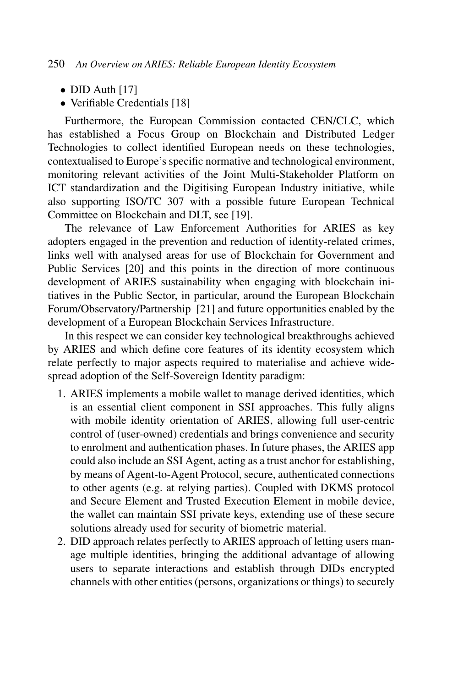- DID Auth [17]
- Verifiable Credentials [18]

Furthermore, the European Commission contacted CEN/CLC, which has established a Focus Group on Blockchain and Distributed Ledger Technologies to collect identified European needs on these technologies, contextualised to Europe's specific normative and technological environment, monitoring relevant activities of the Joint Multi-Stakeholder Platform on ICT standardization and the Digitising European Industry initiative, while also supporting ISO/TC 307 with a possible future European Technical Committee on Blockchain and DLT, see [19].

The relevance of Law Enforcement Authorities for ARIES as key adopters engaged in the prevention and reduction of identity-related crimes, links well with analysed areas for use of Blockchain for Government and Public Services [20] and this points in the direction of more continuous development of ARIES sustainability when engaging with blockchain initiatives in the Public Sector, in particular, around the European Blockchain Forum/Observatory/Partnership [21] and future opportunities enabled by the development of a European Blockchain Services Infrastructure.

In this respect we can consider key technological breakthroughs achieved by ARIES and which define core features of its identity ecosystem which relate perfectly to major aspects required to materialise and achieve widespread adoption of the Self-Sovereign Identity paradigm:

- 1. ARIES implements a mobile wallet to manage derived identities, which is an essential client component in SSI approaches. This fully aligns with mobile identity orientation of ARIES, allowing full user-centric control of (user-owned) credentials and brings convenience and security to enrolment and authentication phases. In future phases, the ARIES app could also include an SSI Agent, acting as a trust anchor for establishing, by means of Agent-to-Agent Protocol, secure, authenticated connections to other agents (e.g. at relying parties). Coupled with DKMS protocol and Secure Element and Trusted Execution Element in mobile device, the wallet can maintain SSI private keys, extending use of these secure solutions already used for security of biometric material.
- 2. DID approach relates perfectly to ARIES approach of letting users manage multiple identities, bringing the additional advantage of allowing users to separate interactions and establish through DIDs encrypted channels with other entities (persons, organizations or things) to securely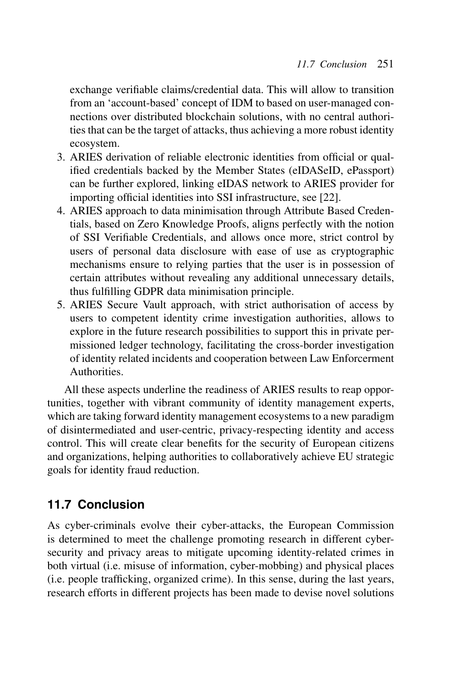exchange verifiable claims/credential data. This will allow to transition from an 'account-based' concept of IDM to based on user-managed connections over distributed blockchain solutions, with no central authorities that can be the target of attacks, thus achieving a more robust identity ecosystem.

- 3. ARIES derivation of reliable electronic identities from official or qualified credentials backed by the Member States (eIDASeID, ePassport) can be further explored, linking eIDAS network to ARIES provider for importing official identities into SSI infrastructure, see [22].
- 4. ARIES approach to data minimisation through Attribute Based Credentials, based on Zero Knowledge Proofs, aligns perfectly with the notion of SSI Verifiable Credentials, and allows once more, strict control by users of personal data disclosure with ease of use as cryptographic mechanisms ensure to relying parties that the user is in possession of certain attributes without revealing any additional unnecessary details, thus fulfilling GDPR data minimisation principle.
- 5. ARIES Secure Vault approach, with strict authorisation of access by users to competent identity crime investigation authorities, allows to explore in the future research possibilities to support this in private permissioned ledger technology, facilitating the cross-border investigation of identity related incidents and cooperation between Law Enforcerment **Authorities**

All these aspects underline the readiness of ARIES results to reap opportunities, together with vibrant community of identity management experts, which are taking forward identity management ecosystems to a new paradigm of disintermediated and user-centric, privacy-respecting identity and access control. This will create clear benefits for the security of European citizens and organizations, helping authorities to collaboratively achieve EU strategic goals for identity fraud reduction.

# **11.7 Conclusion**

As cyber-criminals evolve their cyber-attacks, the European Commission is determined to meet the challenge promoting research in different cybersecurity and privacy areas to mitigate upcoming identity-related crimes in both virtual (i.e. misuse of information, cyber-mobbing) and physical places (i.e. people trafficking, organized crime). In this sense, during the last years, research efforts in different projects has been made to devise novel solutions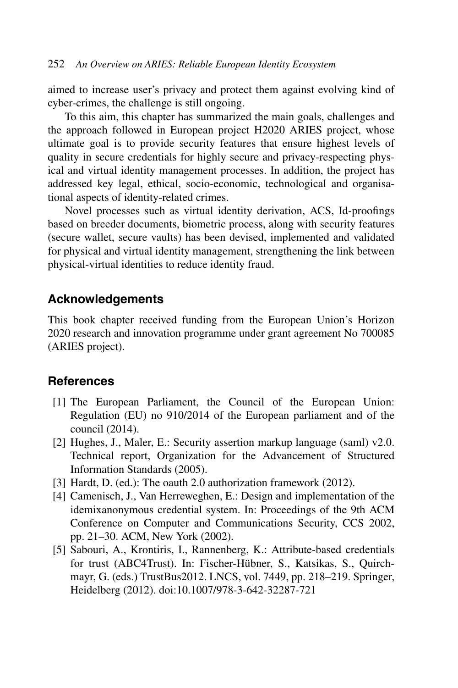aimed to increase user's privacy and protect them against evolving kind of cyber-crimes, the challenge is still ongoing.

To this aim, this chapter has summarized the main goals, challenges and the approach followed in European project H2020 ARIES project, whose ultimate goal is to provide security features that ensure highest levels of quality in secure credentials for highly secure and privacy-respecting physical and virtual identity management processes. In addition, the project has addressed key legal, ethical, socio-economic, technological and organisational aspects of identity-related crimes.

Novel processes such as virtual identity derivation, ACS, Id-proofings based on breeder documents, biometric process, along with security features (secure wallet, secure vaults) has been devised, implemented and validated for physical and virtual identity management, strengthening the link between physical-virtual identities to reduce identity fraud.

# **Acknowledgements**

This book chapter received funding from the European Union's Horizon 2020 research and innovation programme under grant agreement No 700085 (ARIES project).

### **References**

- [1] The European Parliament, the Council of the European Union: Regulation (EU) no 910/2014 of the European parliament and of the council (2014).
- [2] Hughes, J., Maler, E.: Security assertion markup language (saml) v2.0. Technical report, Organization for the Advancement of Structured Information Standards (2005).
- [3] Hardt, D. (ed.): The oauth 2.0 authorization framework (2012).
- [4] Camenisch, J., Van Herreweghen, E.: Design and implementation of the idemixanonymous credential system. In: Proceedings of the 9th ACM Conference on Computer and Communications Security, CCS 2002, pp. 21–30. ACM, New York (2002).
- [5] Sabouri, A., Krontiris, I., Rannenberg, K.: Attribute-based credentials for trust (ABC4Trust). In: Fischer-Hübner, S., Katsikas, S., Quirchmayr, G. (eds.) TrustBus2012. LNCS, vol. 7449, pp. 218–219. Springer, Heidelberg (2012). doi:10.1007/978-3-642-32287-721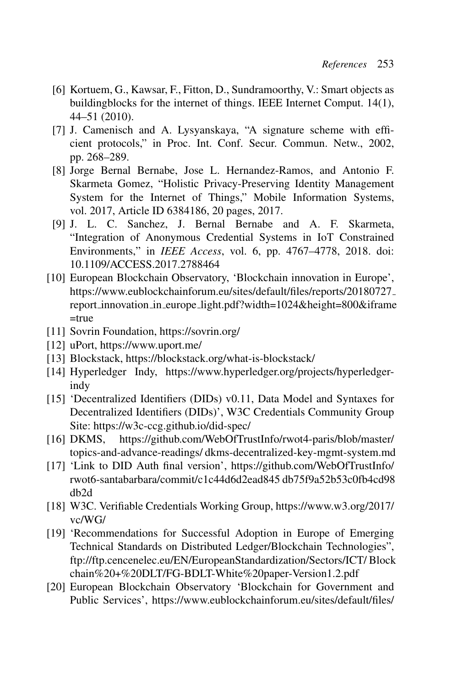- [6] Kortuem, G., Kawsar, F., Fitton, D., Sundramoorthy, V.: Smart objects as buildingblocks for the internet of things. IEEE Internet Comput. 14(1), 44–51 (2010).
- [7] J. Camenisch and A. Lysyanskaya, "A signature scheme with efficient protocols," in Proc. Int. Conf. Secur. Commun. Netw., 2002, pp. 268–289.
- [8] Jorge Bernal Bernabe, Jose L. Hernandez-Ramos, and Antonio F. Skarmeta Gomez, "Holistic Privacy-Preserving Identity Management System for the Internet of Things," Mobile Information Systems, vol. 2017, Article ID 6384186, 20 pages, 2017.
- [9] J. L. C. Sanchez, J. Bernal Bernabe and A. F. Skarmeta, "Integration of Anonymous Credential Systems in IoT Constrained Environments," in *IEEE Access*, vol. 6, pp. 4767–4778, 2018. doi: 10.1109/ACCESS.2017.2788464
- [10] European Blockchain Observatory, 'Blockchain innovation in Europe', https://www.eublockchainforum.eu/sites/default/files/reports/20180727 report innovation in europe light.pdf?width=1024&height=800&iframe  $=$ true
- [11] Sovrin Foundation, https://sovrin.org/
- [12] uPort, https://www.uport.me/
- [13] Blockstack, https://blockstack.org/what-is-blockstack/
- [14] Hyperledger Indy, https://www.hyperledger.org/projects/hyperledgerindy
- [15] 'Decentralized Identifiers (DIDs) v0.11, Data Model and Syntaxes for Decentralized Identifiers (DIDs)', W3C Credentials Community Group Site: https://w3c-ccg.github.io/did-spec/
- [16] DKMS, https://github.com/WebOfTrustInfo/rwot4-paris/blob/master/ topics-and-advance-readings/ dkms-decentralized-key-mgmt-system.md
- [17] 'Link to DID Auth final version', https://github.com/WebOfTrustInfo/ rwot6-santabarbara/commit/c1c44d6d2ead845 db75f9a52b53c0fb4cd98 db2d
- [18] W3C. Verifiable Credentials Working Group, https://www.w3.org/2017/ vc/WG/
- [19] 'Recommendations for Successful Adoption in Europe of Emerging Technical Standards on Distributed Ledger/Blockchain Technologies", ftp://ftp.cencenelec.eu/EN/EuropeanStandardization/Sectors/ICT/ Block chain%20+%20DLT/FG-BDLT-White%20paper-Version1.2.pdf
- [20] European Blockchain Observatory 'Blockchain for Government and Public Services', https://www.eublockchainforum.eu/sites/default/files/